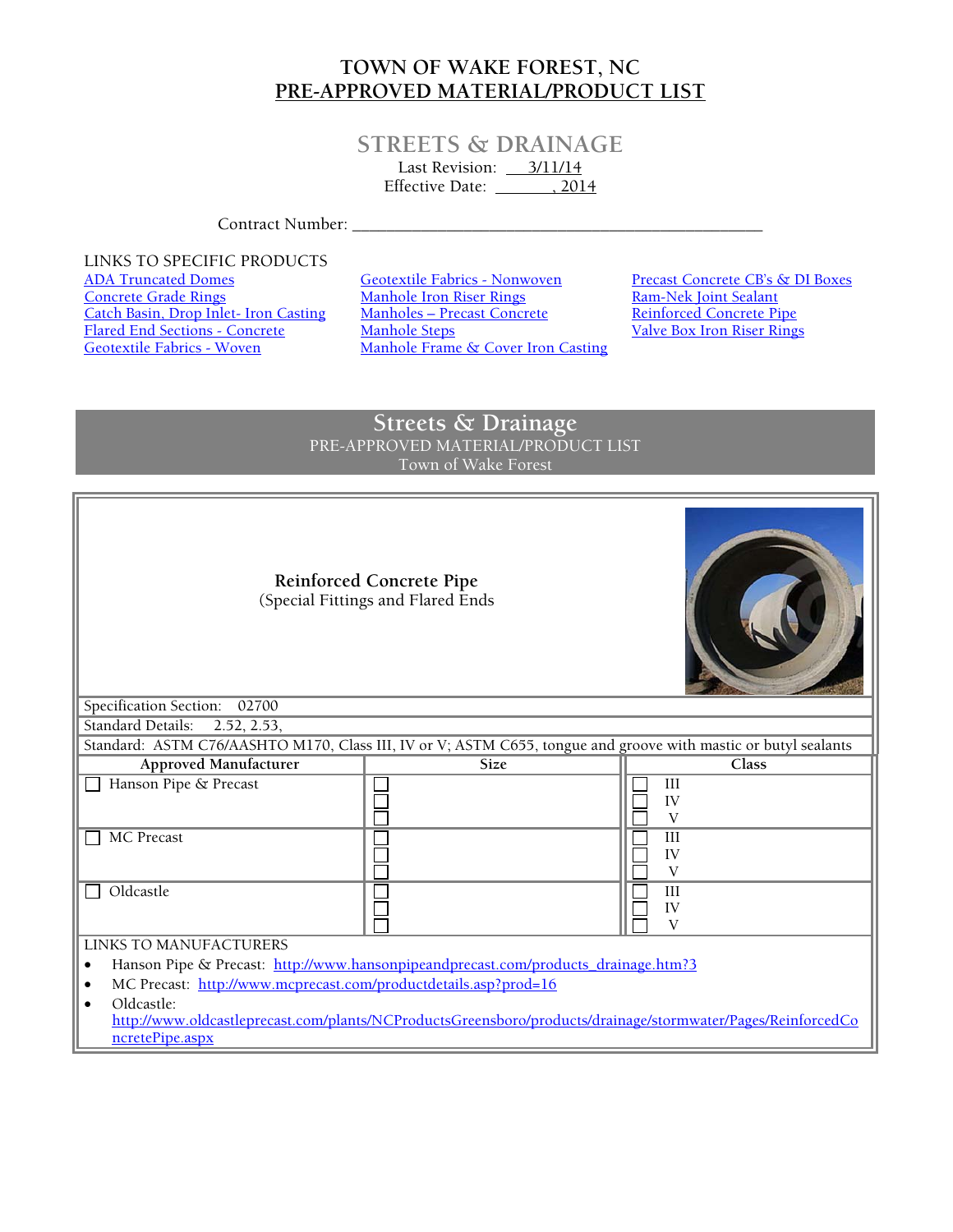## **TOWN OF WAKE FOREST, NC PRE-APPROVED MATERIAL/PRODUCT LIST**

## **STREETS & DRAINAGE**

Last Revision: <u>3/11/14</u> Effective Date: \_\_\_\_\_\_\_\_\_, 2014

Contract Number: \_\_\_\_\_\_\_\_\_\_\_\_\_\_\_\_\_\_\_\_\_\_\_\_\_\_\_\_\_\_\_\_\_\_\_\_\_\_\_\_\_\_\_\_\_\_\_\_

LINKS TO SPECIFIC PRODUCTS<br>ADA Truncated Domes Flared End Sections - Concrete<br>Geotextile Fabrics - Woven

ADA Truncated Domes<br>
Concrete Grade Rings<br>
Concrete Grade Rings<br>
Manhole Iron Riser Rings<br>
Ram-Nek Joint Sealant Concrete Grade Rings Manhole Iron Riser Rings Ram-Nek Joint Sealant Catch Basin, Drop Inlet- Iron Casting Manholes – Precast Concrete Reinforced Concrete Pipe<br>Flared End Sections - Concrete Manhole Steps Valve Box Iron Riser Rings Manhole Frame  $\&$  Cover Iron Casting

## **Streets & Drainage** PRE-APPROVED MATERIAL/PRODUCT LIST Town of Wake Forest

| <b>Reinforced Concrete Pipe</b><br>(Special Fittings and Flared Ends                                                                         |             |                      |  |
|----------------------------------------------------------------------------------------------------------------------------------------------|-------------|----------------------|--|
| Specification Section:<br>02700                                                                                                              |             |                      |  |
| <b>Standard Details:</b><br>2.52, 2.53,                                                                                                      |             |                      |  |
| Standard: ASTM C76/AASHTO M170, Class III, IV or V; ASTM C655, tongue and groove with mastic or butyl sealants                               |             |                      |  |
| Approved Manufacturer                                                                                                                        | <b>Size</b> | Class                |  |
| Hanson Pipe & Precast                                                                                                                        |             | III<br>IV<br>V       |  |
| <b>MC</b> Precast                                                                                                                            |             | III<br>IV<br>V       |  |
| Oldcastle                                                                                                                                    |             | III<br>IV<br>$\rm V$ |  |
| <b>LINKS TO MANUFACTURERS</b>                                                                                                                |             |                      |  |
| Hanson Pipe & Precast: http://www.hansonpipeandprecast.com/products_drainage.htm?3<br>$\bullet$                                              |             |                      |  |
| MC Precast: http://www.mcprecast.com/productdetails.asp?prod=16                                                                              |             |                      |  |
| Oldcastle:<br>http://www.oldcastleprecast.com/plants/NCProductsGreensboro/products/drainage/stormwater/Pages/ReinforcedCo<br>ncretePipe.aspx |             |                      |  |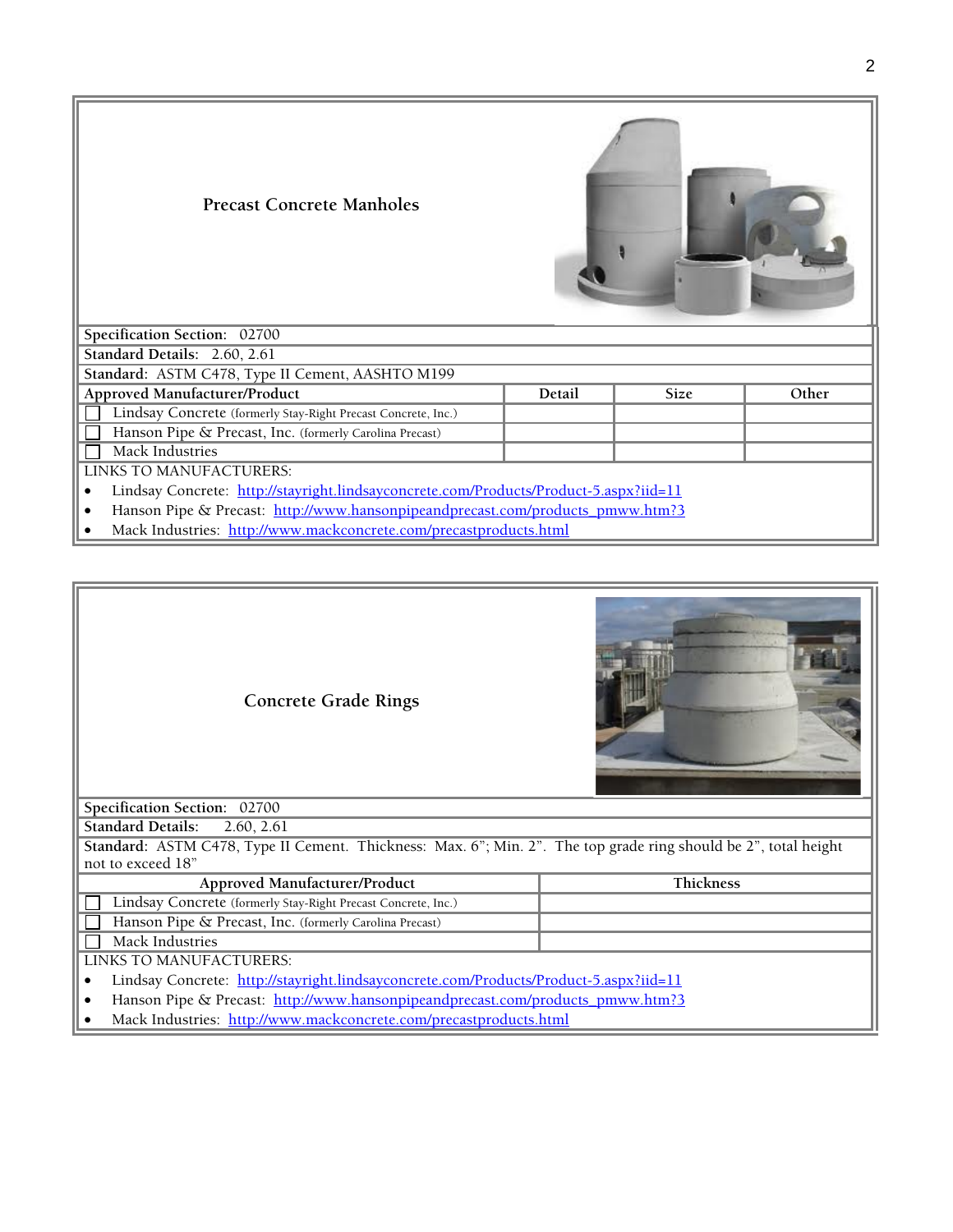| <b>Precast Concrete Manholes</b>                                                      |        |             |       |
|---------------------------------------------------------------------------------------|--------|-------------|-------|
| Specification Section: 02700                                                          |        |             |       |
| Standard Details: 2.60, 2.61                                                          |        |             |       |
| Standard: ASTM C478, Type II Cement, AASHTO M199                                      |        |             |       |
| Approved Manufacturer/Product                                                         | Detail | <b>Size</b> | Other |
| Lindsay Concrete (formerly Stay-Right Precast Concrete, Inc.)                         |        |             |       |
| Hanson Pipe & Precast, Inc. (formerly Carolina Precast)                               |        |             |       |
| Mack Industries                                                                       |        |             |       |
| LINKS TO MANUFACTURERS:                                                               |        |             |       |
| Lindsay Concrete: http://stayright.lindsayconcrete.com/Products/Product-5.aspx?iid=11 |        |             |       |
| Hanson Pipe & Precast: http://www.hansonpipeandprecast.com/products_pmww.htm?3<br>٠   |        |             |       |

• Mack Industries: http://www.mackconcrete.com/precastproducts.html



**Concrete Grade Rings** 

**Specification Section:** 02700

**Standard Details:** 2.60, 2.61

**Standard:** ASTM C478, Type II Cement. Thickness: Max. 6"; Min. 2". The top grade ring should be 2", total height not to exceed 18"

| Approved Manufacturer/Product                                 | <b>Thickness</b> |
|---------------------------------------------------------------|------------------|
| Lindsay Concrete (formerly Stay-Right Precast Concrete, Inc.) |                  |
| Hanson Pipe & Precast, Inc. (formerly Carolina Precast)       |                  |
| Mack Industries                                               |                  |
| LINKS TO MANUFACTURERS:                                       |                  |
|                                                               |                  |

- Lindsay Concrete: http://stayright.lindsayconcrete.com/Products/Product-5.aspx?iid=11
- Hanson Pipe & Precast: http://www.hansonpipeandprecast.com/products\_pmww.htm?3
- Mack Industries: http://www.mackconcrete.com/precastproducts.html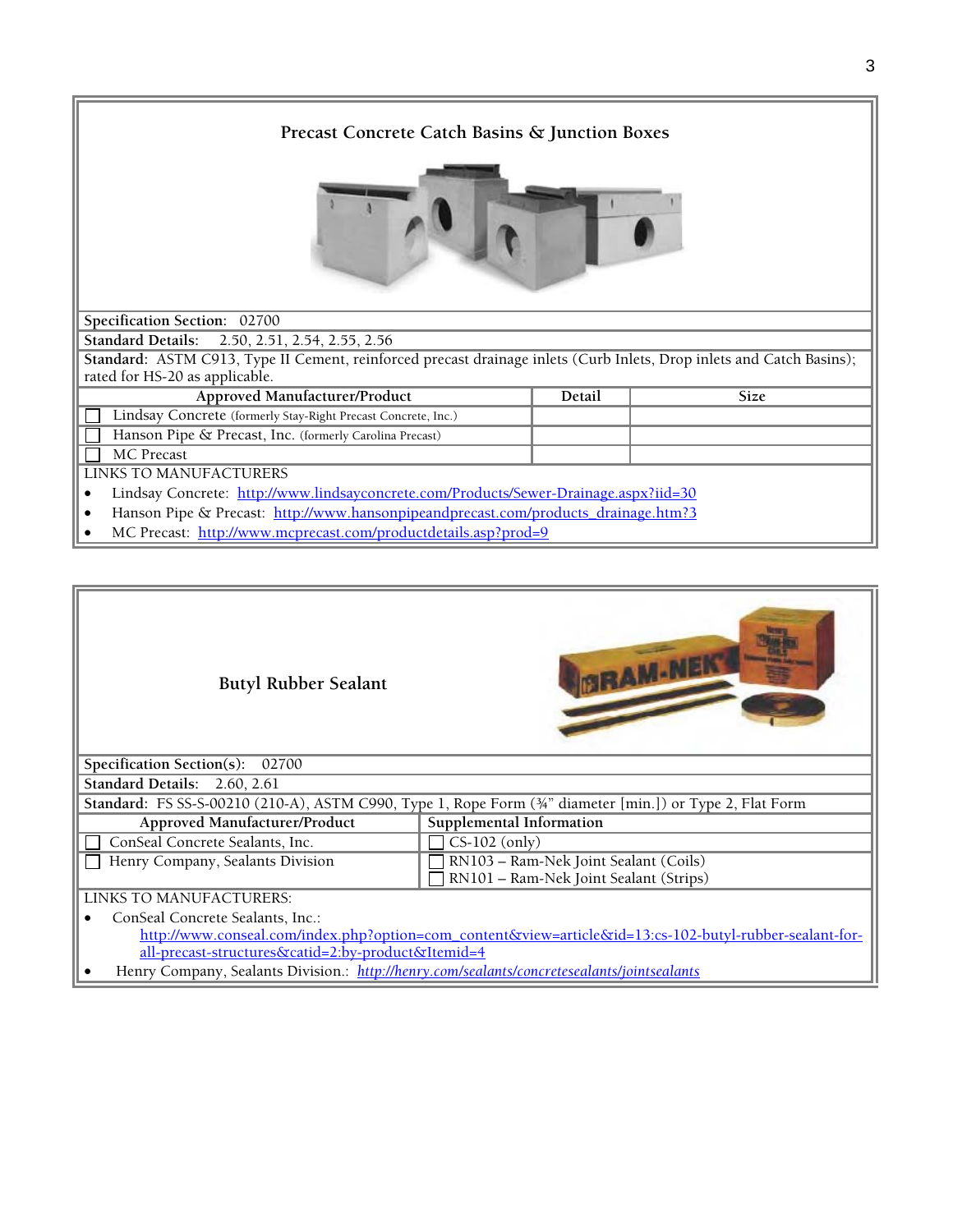| Precast Concrete Catch Basins & Junction Boxes                                                                       |        |             |
|----------------------------------------------------------------------------------------------------------------------|--------|-------------|
|                                                                                                                      |        |             |
| Specification Section: 02700                                                                                         |        |             |
| Standard Details: 2.50, 2.51, 2.54, 2.55, 2.56                                                                       |        |             |
| Standard: ASTM C913, Type II Cement, reinforced precast drainage inlets (Curb Inlets, Drop inlets and Catch Basins); |        |             |
| rated for HS-20 as applicable.                                                                                       |        |             |
| Approved Manufacturer/Product                                                                                        | Detail | <b>Size</b> |
| Lindsay Concrete (formerly Stay-Right Precast Concrete, Inc.)                                                        |        |             |
| Hanson Pipe & Precast, Inc. (formerly Carolina Precast)                                                              |        |             |
| <b>MC</b> Precast                                                                                                    |        |             |
| LINKS TO MANUFACTURERS                                                                                               |        |             |
| Lindsay Concrete: http://www.lindsayconcrete.com/Products/Sewer-Drainage.aspx?iid=30<br>٠                            |        |             |
| Hanson Pipe & Precast: http://www.hansonpipeandprecast.com/products drainage.htm?3                                   |        |             |
| MC Precast: http://www.mcprecast.com/productdetails.asp?prod=9                                                       |        |             |

| <b>Butyl Rubber Sealant</b>      | <b>GRAM-NEL</b>                                                                                                       |
|----------------------------------|-----------------------------------------------------------------------------------------------------------------------|
| Specification Section(s): 02700  |                                                                                                                       |
| Standard Details: 2.60, 2.61     |                                                                                                                       |
|                                  | Standard: FS SS-S-00210 (210-A), ASTM C990, Type 1, Rope Form ( $\frac{3}{4}$ " diameter [min.]) or Type 2, Flat Form |
| Approved Manufacturer/Product    | Supplemental Information                                                                                              |
| ConSeal Concrete Sealants, Inc.  | $CS-102$ (only)                                                                                                       |
| Henry Company, Sealants Division | RN103 - Ram-Nek Joint Sealant (Coils)                                                                                 |
|                                  | RN101 - Ram-Nek Joint Sealant (Strips)                                                                                |
| LINKS TO MANUFACTURERS:          |                                                                                                                       |
| Canford Concrete Section to Inc. |                                                                                                                       |

• ConSeal Concrete Sealants, Inc.: http://www.conseal.com/index.php?option=com\_content&view=article&id=13:cs-102-butyl-rubber-sealant-forall-precast-structures&catid=2:by-product&Itemid=4

• Henry Company, Sealants Division.: *http://henry.com/sealants/concretesealants/jointsealants*

Ш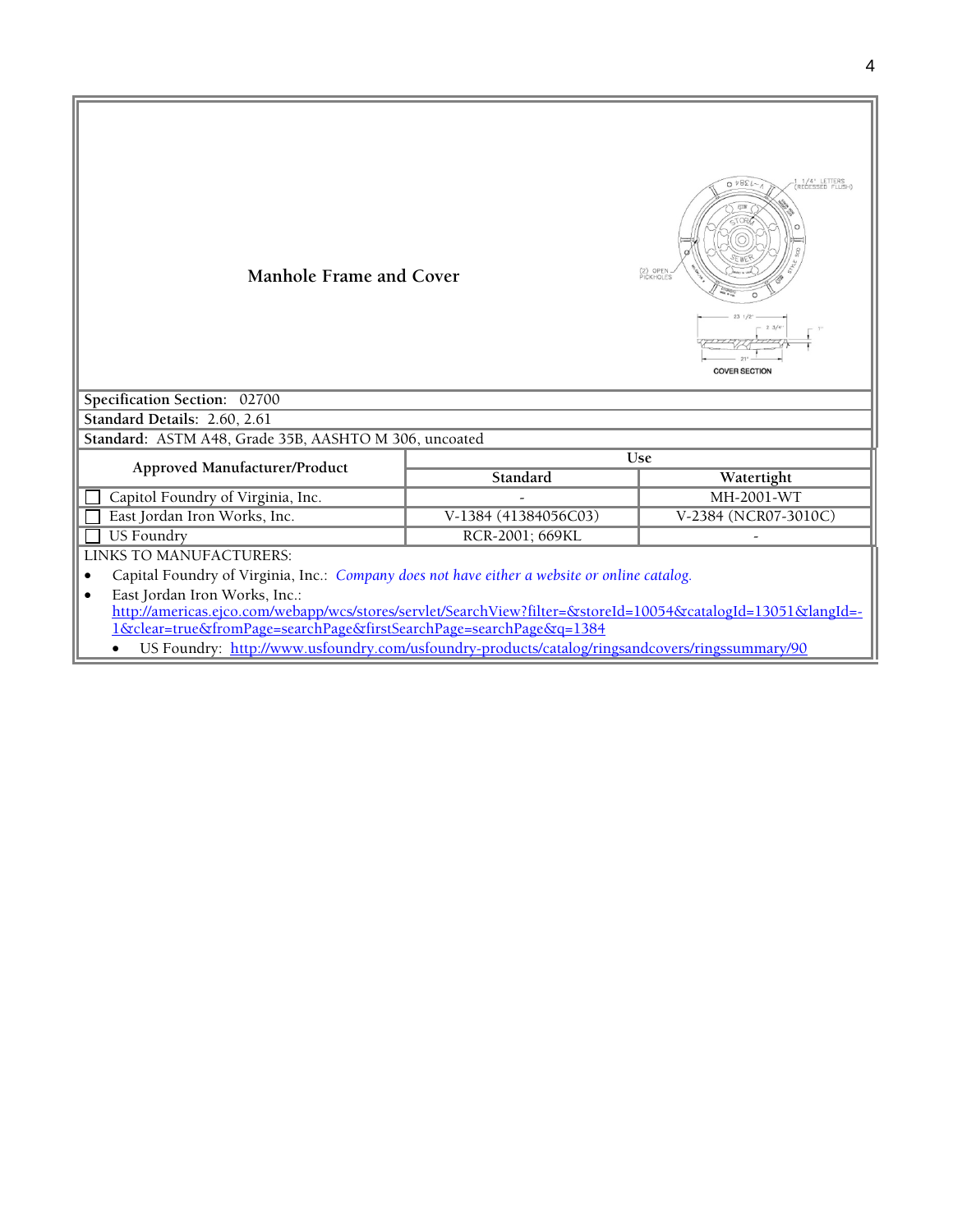| Manhole Frame and Cover                                                                                      |                                      | 1/4" LETTER<br>$0 \t{1385}$<br>(2) OPEN<br>PICKHOLES<br><b>COVER SECTION</b> |  |
|--------------------------------------------------------------------------------------------------------------|--------------------------------------|------------------------------------------------------------------------------|--|
| Specification Section: 02700                                                                                 |                                      |                                                                              |  |
| Standard Details: 2.60, 2.61                                                                                 |                                      |                                                                              |  |
| Standard: ASTM A48, Grade 35B, AASHTO M 306, uncoated                                                        |                                      |                                                                              |  |
| Approved Manufacturer/Product                                                                                |                                      | <b>Use</b>                                                                   |  |
|                                                                                                              | Standard                             | Watertight                                                                   |  |
| Capitol Foundry of Virginia, Inc.                                                                            |                                      | MH-2001-WT                                                                   |  |
| East Jordan Iron Works, Inc.                                                                                 | V-1384 (41384056C03)                 | V-2384 (NCR07-3010C)                                                         |  |
|                                                                                                              | <b>US Foundry</b><br>RCR-2001; 669KL |                                                                              |  |
| LINKS TO MANUFACTURERS:                                                                                      |                                      |                                                                              |  |
| Capital Foundry of Virginia, Inc.: Company does not have either a website or online catalog.                 |                                      |                                                                              |  |
| East Jordan Iron Works, Inc.:                                                                                |                                      |                                                                              |  |
| http://americas.ejco.com/webapp/wcs/stores/servlet/SearchView?filter=&storeId=10054&catalogId=13051&langId=- |                                      |                                                                              |  |
| <u>1&amp;clear=true&amp;fromPage=searchPage&amp;firstSearchPage=searchPage&amp;q=1384</u>                    |                                      |                                                                              |  |
| US Foundry: http://www.usfoundry.com/usfoundry-products/catalog/ringsandcovers/ringssummary/90               |                                      |                                                                              |  |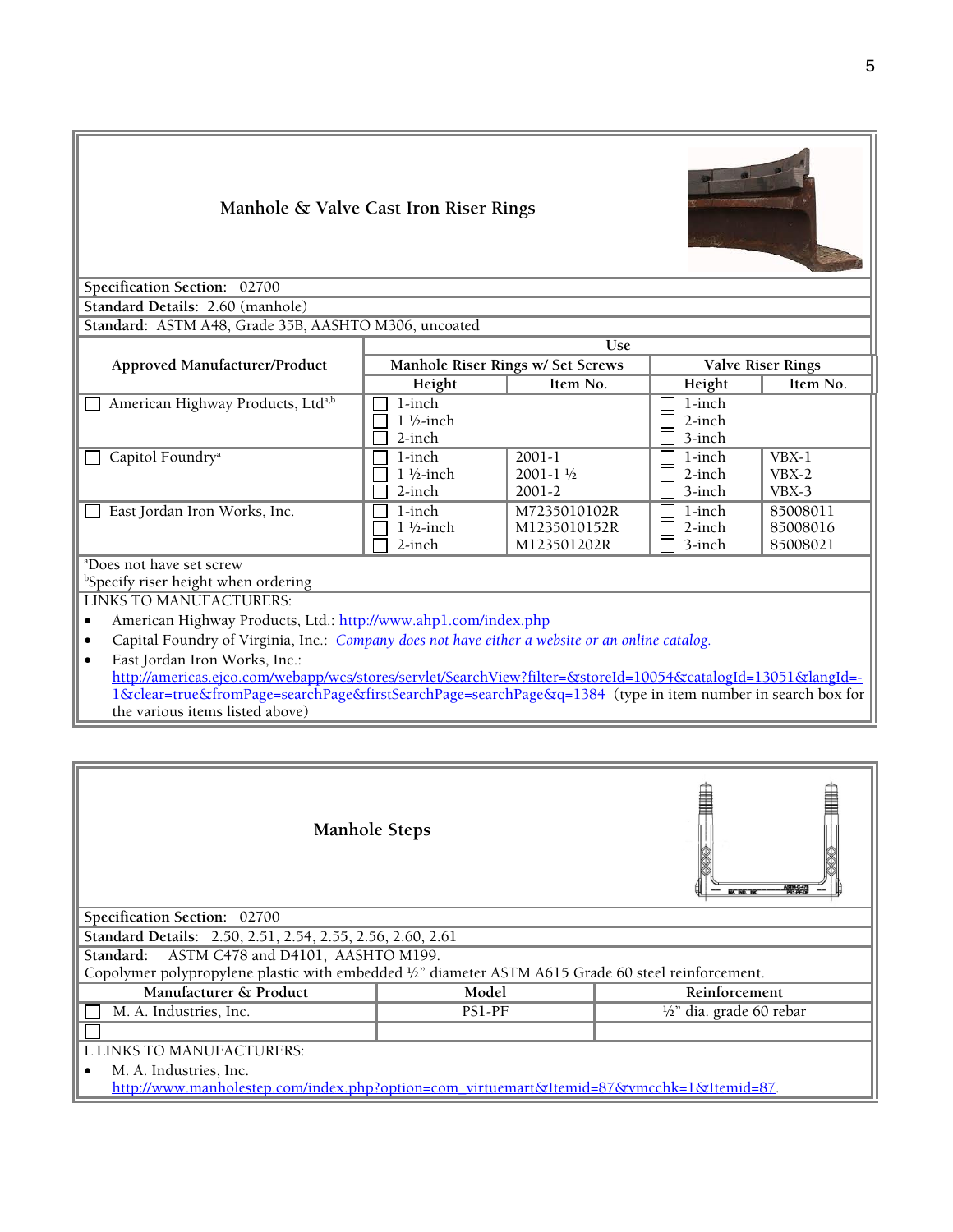| Manhole & Valve Cast Iron Riser Rings<br>Specification Section: 02700<br>Standard Details: 2.60 (manhole)                                                                                                                                                                                                                                                                                                                                                                       |                                                |                                               |                               |                                  |
|---------------------------------------------------------------------------------------------------------------------------------------------------------------------------------------------------------------------------------------------------------------------------------------------------------------------------------------------------------------------------------------------------------------------------------------------------------------------------------|------------------------------------------------|-----------------------------------------------|-------------------------------|----------------------------------|
| Standard: ASTM A48, Grade 35B, AASHTO M306, uncoated                                                                                                                                                                                                                                                                                                                                                                                                                            |                                                | Use                                           |                               |                                  |
| Approved Manufacturer/Product                                                                                                                                                                                                                                                                                                                                                                                                                                                   |                                                | Manhole Riser Rings w/ Set Screws             |                               | <b>Valve Riser Rings</b>         |
|                                                                                                                                                                                                                                                                                                                                                                                                                                                                                 | Height                                         | Item No.                                      | Height                        | Item No.                         |
| American Highway Products, Ltda,b                                                                                                                                                                                                                                                                                                                                                                                                                                               | 1-inch<br>$1\frac{1}{2}$ -inch<br>2-inch       |                                               | 1-inch<br>$2$ -inch<br>3-inch |                                  |
| Capitol Foundry <sup>a</sup>                                                                                                                                                                                                                                                                                                                                                                                                                                                    | $1$ -inch<br>$1\frac{1}{2}$ -inch<br>$2$ -inch | 2001-1<br>$2001 - 1\frac{1}{2}$<br>$2001 - 2$ | 1-inch<br>2-inch<br>3-inch    | $VBX-1$<br>$VBX-2$<br>VBX-3      |
| East Jordan Iron Works, Inc.                                                                                                                                                                                                                                                                                                                                                                                                                                                    | 1-inch<br>$1\frac{1}{2}$ -inch<br>$2$ -inch    | M7235010102R<br>M1235010152R<br>M123501202R   | 1-inch<br>$2$ -inch<br>3-inch | 85008011<br>85008016<br>85008021 |
| <sup>a</sup> Does not have set screw<br><sup>b</sup> Specify riser height when ordering<br>LINKS TO MANUFACTURERS:                                                                                                                                                                                                                                                                                                                                                              |                                                |                                               |                               |                                  |
| American Highway Products, Ltd.: http://www.ahpl.com/index.php<br>Capital Foundry of Virginia, Inc.: Company does not have either a website or an online catalog.<br>East Jordan Iron Works, Inc.:<br>$\bullet$<br>http://americas.ejco.com/webapp/wcs/stores/servlet/SearchView?filter=&storeId=10054&catalogId=13051&langId=-<br>1&clear=true&fromPage=searchPage&firstSearchPage=searchPage&q=1384 (type in item number in search box for<br>the various items listed above) |                                                |                                               |                               |                                  |

| <b>Manhole Steps</b><br><b>UX NO. 1</b>                                                             |        |                                     |
|-----------------------------------------------------------------------------------------------------|--------|-------------------------------------|
| Specification Section: 02700                                                                        |        |                                     |
| Standard Details: 2.50, 2.51, 2.54, 2.55, 2.56, 2.60, 2.61                                          |        |                                     |
| ASTM C478 and D4101, AASHTO M199.<br>Standard:                                                      |        |                                     |
| Copolymer polypropylene plastic with embedded 1/2" diameter ASTM A615 Grade 60 steel reinforcement. |        |                                     |
| Manufacturer & Product                                                                              | Model  | Reinforcement                       |
| M. A. Industries, Inc.                                                                              | PS1-PF | $\frac{1}{2}$ " dia. grade 60 rebar |
|                                                                                                     |        |                                     |
| L LINKS TO MANUFACTURERS:                                                                           |        |                                     |
| M. A. Industries, Inc.                                                                              |        |                                     |
| http://www.manholestep.com/index.php?option=com_virtuemart&Itemid=87&vmcchk=1&Itemid=87.            |        |                                     |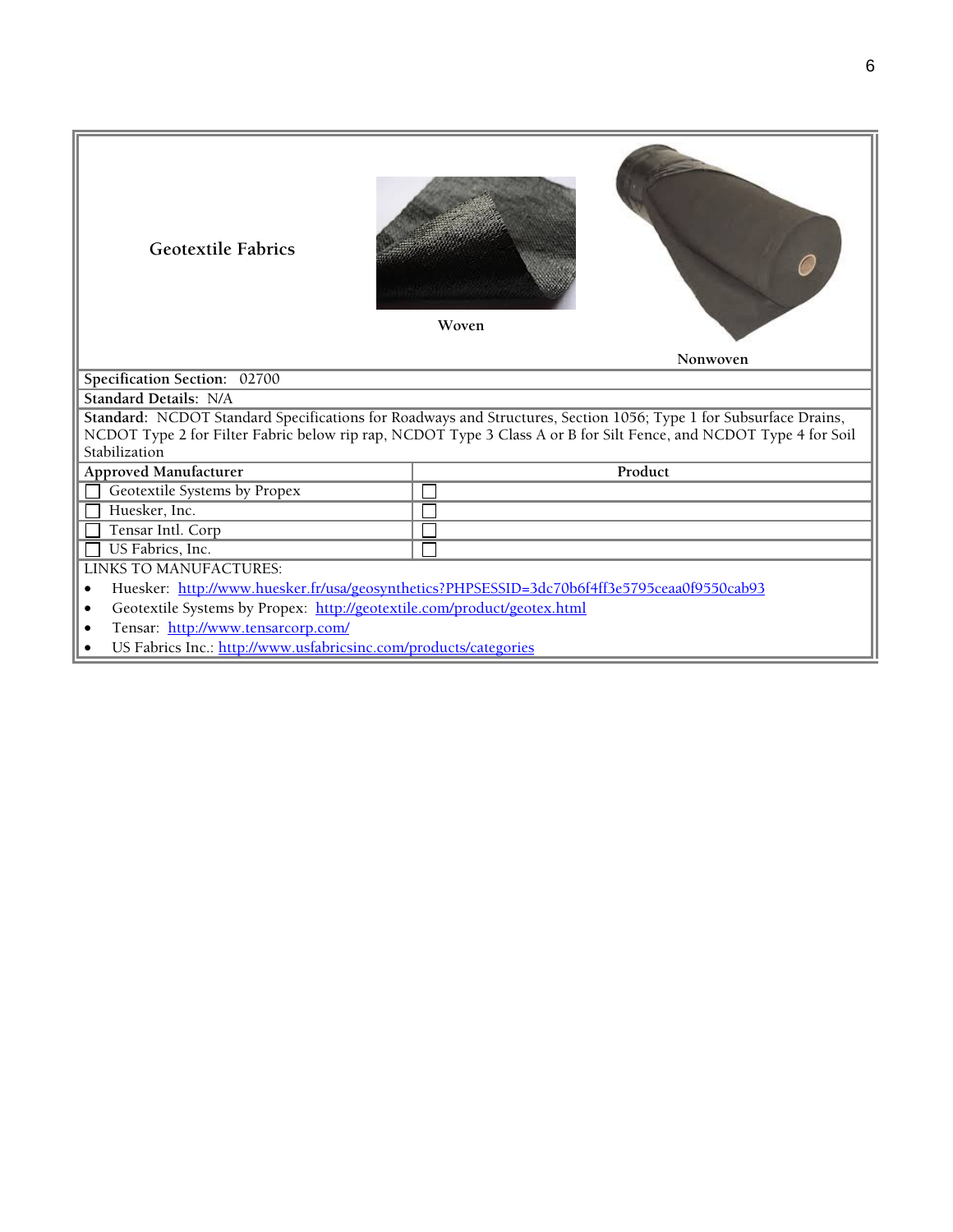| <b>Geotextile Fabrics</b>                                                                   | Woven<br>Nonwoven                                                                                                 |  |  |
|---------------------------------------------------------------------------------------------|-------------------------------------------------------------------------------------------------------------------|--|--|
| Specification Section: 02700                                                                |                                                                                                                   |  |  |
| <b>Standard Details: N/A</b>                                                                |                                                                                                                   |  |  |
|                                                                                             | Standard: NCDOT Standard Specifications for Roadways and Structures, Section 1056; Type 1 for Subsurface Drains,  |  |  |
| Stabilization                                                                               | NCDOT Type 2 for Filter Fabric below rip rap, NCDOT Type 3 Class A or B for Silt Fence, and NCDOT Type 4 for Soil |  |  |
| <b>Approved Manufacturer</b>                                                                | Product                                                                                                           |  |  |
| Geotextile Systems by Propex                                                                |                                                                                                                   |  |  |
| Huesker, Inc.                                                                               |                                                                                                                   |  |  |
| Tensar Intl. Corp                                                                           |                                                                                                                   |  |  |
| US Fabrics, Inc.                                                                            |                                                                                                                   |  |  |
| LINKS TO MANUFACTURES:                                                                      |                                                                                                                   |  |  |
| Huesker: http://www.huesker.fr/usa/geosynthetics?PHPSESSID=3dc70b6f4ff3e5795ceaa0f9550cab93 |                                                                                                                   |  |  |
| Geotextile Systems by Propex: http://geotextile.com/product/geotex.html                     |                                                                                                                   |  |  |
| Tensar: http://www.tensarcorp.com/                                                          |                                                                                                                   |  |  |
| US Fabrics Inc.: http://www.usfabricsinc.com/products/categories                            |                                                                                                                   |  |  |
|                                                                                             |                                                                                                                   |  |  |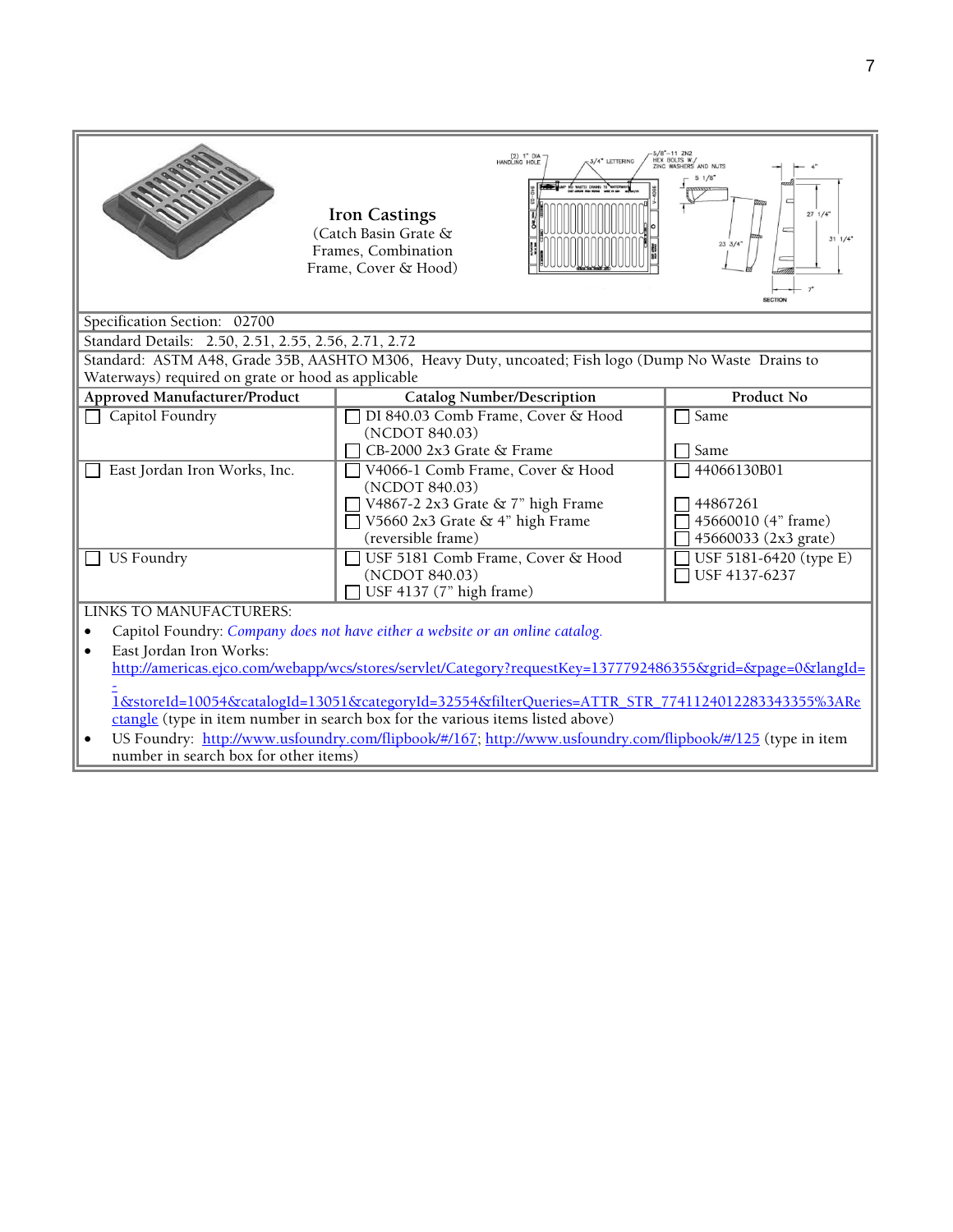|                                                                                                            | (2) 1" DIA<br>HANDLING HOLE<br>3/4" LETTERING<br><b>Iron Castings</b><br>(Catch Basin Grate &<br>Frames, Combination<br>Frame, Cover & Hood) | 5/8"—11 ZN2<br>HEX BOLTS W./<br>ZINC WASHERS AND NUTS<br>$27 \frac{1}{4}$<br>$31 \frac{1}{4}$<br>$23 \frac{3}{4}$<br><b>SECTION</b> |  |
|------------------------------------------------------------------------------------------------------------|----------------------------------------------------------------------------------------------------------------------------------------------|-------------------------------------------------------------------------------------------------------------------------------------|--|
| Specification Section: 02700                                                                               |                                                                                                                                              |                                                                                                                                     |  |
| Standard Details: 2.50, 2.51, 2.55, 2.56, 2.71, 2.72                                                       |                                                                                                                                              |                                                                                                                                     |  |
|                                                                                                            | Standard: ASTM A48, Grade 35B, AASHTO M306, Heavy Duty, uncoated; Fish logo (Dump No Waste Drains to                                         |                                                                                                                                     |  |
| Waterways) required on grate or hood as applicable                                                         |                                                                                                                                              |                                                                                                                                     |  |
| <b>Approved Manufacturer/Product</b>                                                                       | <b>Catalog Number/Description</b>                                                                                                            | <b>Product No</b>                                                                                                                   |  |
| Capitol Foundry                                                                                            | DI 840.03 Comb Frame, Cover & Hood                                                                                                           | Same                                                                                                                                |  |
|                                                                                                            | (NCDOT 840.03)<br>CB-2000 2x3 Grate & Frame                                                                                                  | Same                                                                                                                                |  |
| East Jordan Iron Works, Inc.                                                                               | V4066-1 Comb Frame, Cover & Hood                                                                                                             | 44066130B01                                                                                                                         |  |
|                                                                                                            | (NCDOT 840.03)                                                                                                                               |                                                                                                                                     |  |
|                                                                                                            | V4867-2 2x3 Grate & 7" high Frame                                                                                                            | 44867261                                                                                                                            |  |
|                                                                                                            | V5660 2x3 Grate & 4" high Frame                                                                                                              | 45660010 (4" frame)                                                                                                                 |  |
|                                                                                                            | (reversible frame)                                                                                                                           | 45660033 (2x3 grate)                                                                                                                |  |
| <b>US Foundry</b>                                                                                          | USF 5181 Comb Frame, Cover & Hood                                                                                                            | USF 5181-6420 (type E)                                                                                                              |  |
|                                                                                                            | (NCDOT 840.03)                                                                                                                               | USF 4137-6237                                                                                                                       |  |
| USF 4137 (7" high frame)                                                                                   |                                                                                                                                              |                                                                                                                                     |  |
| LINKS TO MANUFACTURERS:                                                                                    |                                                                                                                                              |                                                                                                                                     |  |
| Capitol Foundry: Company does not have either a website or an online catalog.                              |                                                                                                                                              |                                                                                                                                     |  |
| East Jordan Iron Works:                                                                                    |                                                                                                                                              |                                                                                                                                     |  |
| http://americas.ejco.com/webapp/wcs/stores/servlet/Category?requestKey=1377792486355&grid=&page=0&langId=  |                                                                                                                                              |                                                                                                                                     |  |
| 1&storeId=10054&catalogId=13051&categoryId=32554&filterQueries=ATTR_STR_7741124012283343355%3ARe           |                                                                                                                                              |                                                                                                                                     |  |
| ctangle (type in item number in search box for the various items listed above)                             |                                                                                                                                              |                                                                                                                                     |  |
| US Foundry: http://www.usfoundry.com/flipbook/#/167; http://www.usfoundry.com/flipbook/#/125 (type in item |                                                                                                                                              |                                                                                                                                     |  |
| number in search box for other items)                                                                      |                                                                                                                                              |                                                                                                                                     |  |